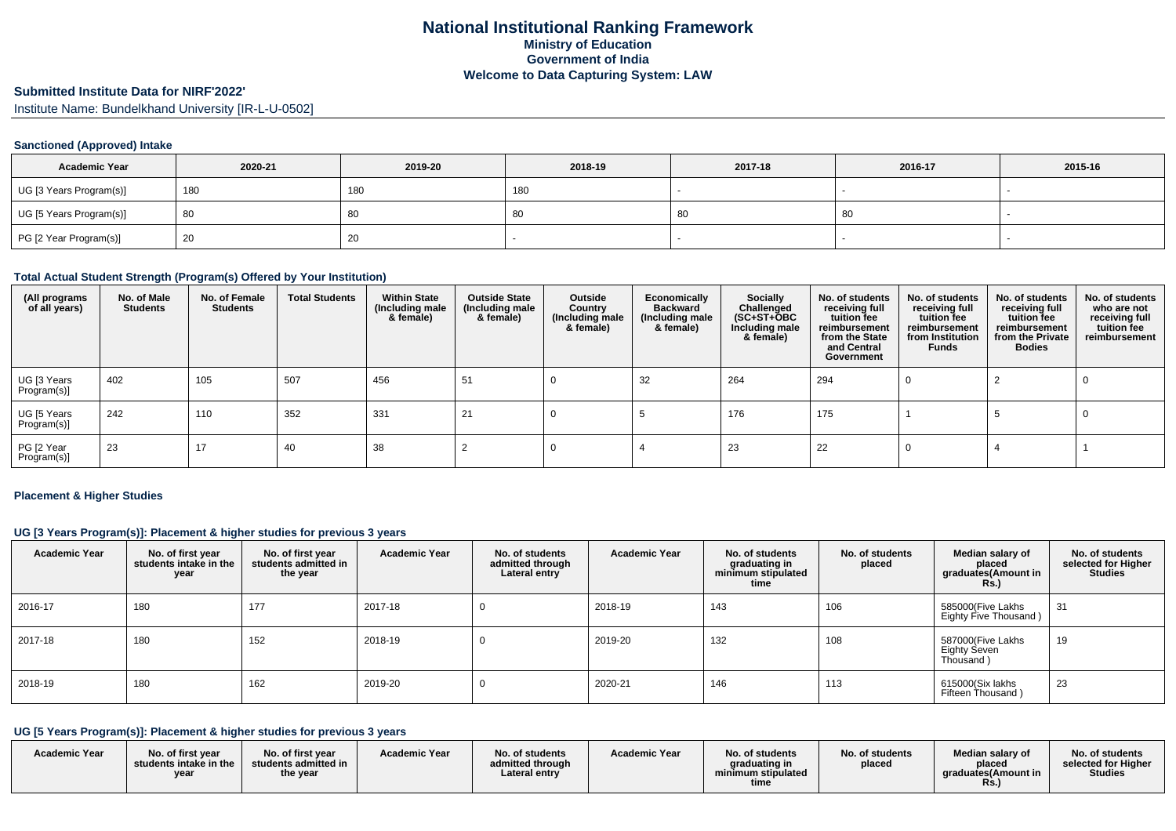# **Submitted Institute Data for NIRF'2022'**

Institute Name: Bundelkhand University [IR-L-U-0502]

### **Sanctioned (Approved) Intake**

| <b>Academic Year</b>    | 2020-21 | 2019-20 | 2018-19 | 2017-18 | 2016-17 | 2015-16 |
|-------------------------|---------|---------|---------|---------|---------|---------|
| UG [3 Years Program(s)] | 180     | 180     | 180     |         |         |         |
| UG [5 Years Program(s)] | 80      | 80      | 80      | - 80    | 80      |         |
| PG [2 Year Program(s)]  | 20      | ZU.     |         |         |         |         |

#### **Total Actual Student Strength (Program(s) Offered by Your Institution)**

| (All programs<br>of all years) | No. of Male<br><b>Students</b> | No. of Female<br>Students | <b>Total Students</b> | <b>Within State</b><br>(Including male<br>& female) | <b>Outside State</b><br>(Including male<br>& female) | Outside<br>Country<br>(Including male<br>& female) | Economically<br><b>Backward</b><br>(Including male<br>& female) | <b>Socially</b><br>Challenged<br>$(SC+ST+\tilde{O}BC)$<br>Including male<br>& female) | No. of students<br>receiving full<br>tuition fee<br>reimbursement<br>from the State<br>and Central<br>Government | No. of students<br>receiving full<br>tuition fee<br>reimbursement<br>from Institution<br>Funds | No. of students<br>receiving full<br>tuition fee<br>reimbursement<br>from the Private<br><b>Bodies</b> | No. of students<br>who are not<br>receiving full<br>tuition fee<br>reimbursement |
|--------------------------------|--------------------------------|---------------------------|-----------------------|-----------------------------------------------------|------------------------------------------------------|----------------------------------------------------|-----------------------------------------------------------------|---------------------------------------------------------------------------------------|------------------------------------------------------------------------------------------------------------------|------------------------------------------------------------------------------------------------|--------------------------------------------------------------------------------------------------------|----------------------------------------------------------------------------------|
| UG [3 Years<br>Program(s)]     | 402                            | 105                       | 507                   | 456                                                 | 51                                                   |                                                    | 32                                                              | 264                                                                                   | 294                                                                                                              |                                                                                                |                                                                                                        |                                                                                  |
| UG [5 Years<br>Program(s)]     | 242                            | 110                       | 352                   | 331                                                 | 21                                                   |                                                    |                                                                 | 176                                                                                   | 175                                                                                                              |                                                                                                |                                                                                                        |                                                                                  |
| PG [2 Year<br>Program(s)]      | 23                             | 17                        | 40                    | 38                                                  |                                                      |                                                    |                                                                 | 23                                                                                    | 22                                                                                                               |                                                                                                |                                                                                                        |                                                                                  |

#### **Placement & Higher Studies**

### **UG [3 Years Program(s)]: Placement & higher studies for previous 3 years**

| <b>Academic Year</b> | No. of first year<br>students intake in the<br>year | No. of first year<br>students admitted in<br>the year | <b>Academic Year</b> | No. of students<br>admitted through<br>Lateral entry | <b>Academic Year</b> | No. of students<br>graduating in<br>minimum stipulated<br>time | No. of students<br>placed | Median salary of<br>placed<br>graduates(Amount in<br>R <sub>S</sub> | No. of students<br>selected for Higher<br><b>Studies</b> |
|----------------------|-----------------------------------------------------|-------------------------------------------------------|----------------------|------------------------------------------------------|----------------------|----------------------------------------------------------------|---------------------------|---------------------------------------------------------------------|----------------------------------------------------------|
| 2016-17              | 180                                                 | 177                                                   | 2017-18              |                                                      | 2018-19              | 143                                                            | 106                       | 585000(Five Lakhs<br>Eighty Five Thousand)                          | 31                                                       |
| 2017-18              | 180                                                 | 152                                                   | 2018-19              |                                                      | 2019-20              | 132                                                            | 108                       | 587000(Five Lakhs<br>Eighty Seven<br>Thousand)                      | 19                                                       |
| 2018-19              | 180                                                 | 162                                                   | 2019-20              |                                                      | 2020-21              | 146                                                            | 113                       | 615000(Six lakhs<br>Fifteen Thousand)                               | 23                                                       |

## **UG [5 Years Program(s)]: Placement & higher studies for previous 3 years**

| <b>Academic Year</b> | No. of first year<br>students intake in the<br>vea | No. of first year<br>students admitted in<br>the year | <b>Academic Year</b> | No. of students<br>admitted through<br>∟ateral entrv | <b>Academic Year</b> | No. of students<br>araduating in<br>minimum stipulated<br>time | No. of students<br>placed | Median salary of<br>placed<br>araduates(Amount in<br><b>Rs.</b> | No. of students<br>selected for Higher<br><b>Studies</b> |
|----------------------|----------------------------------------------------|-------------------------------------------------------|----------------------|------------------------------------------------------|----------------------|----------------------------------------------------------------|---------------------------|-----------------------------------------------------------------|----------------------------------------------------------|
|----------------------|----------------------------------------------------|-------------------------------------------------------|----------------------|------------------------------------------------------|----------------------|----------------------------------------------------------------|---------------------------|-----------------------------------------------------------------|----------------------------------------------------------|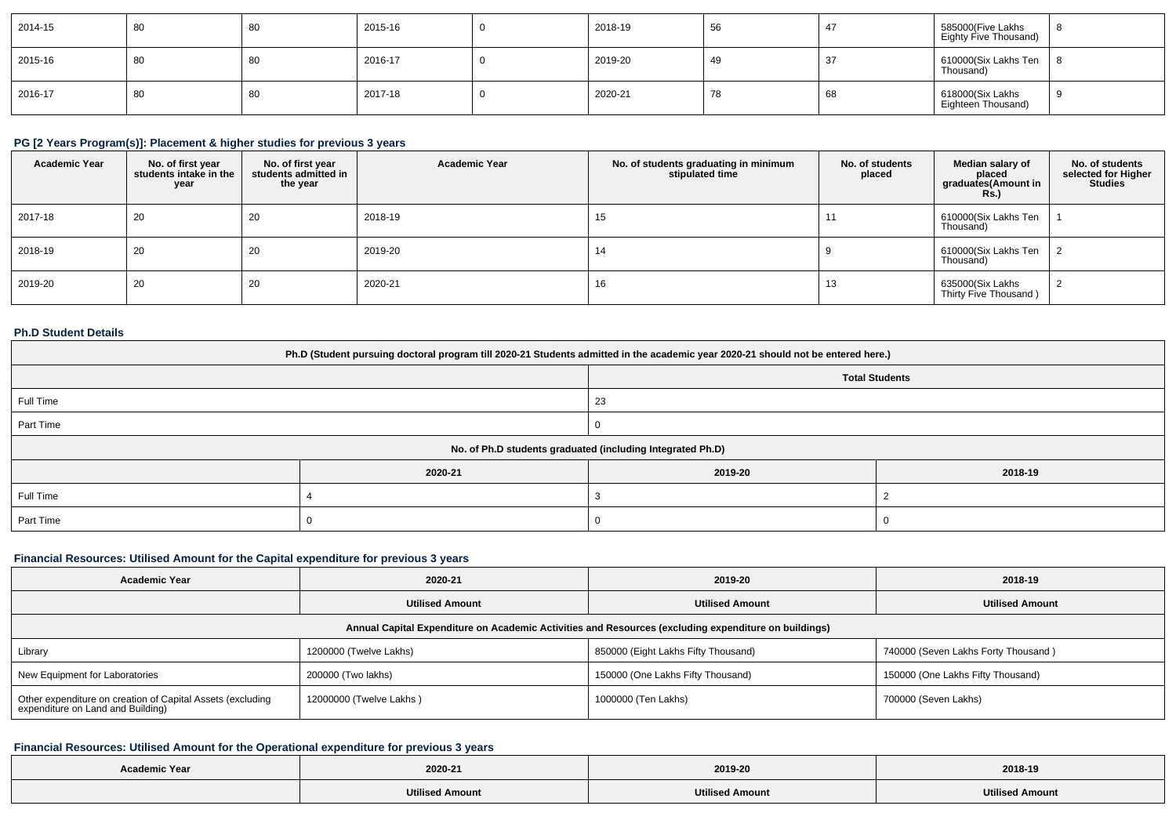| 2014-15    | 80 | 80 | 2015-16 | 2018-19 | 56 | 4  | 585000(Five Lakhs<br>Eighty Five Thousand) |  |
|------------|----|----|---------|---------|----|----|--------------------------------------------|--|
| 2015-16    | 80 | 80 | 2016-17 | 2019-20 | 43 | 37 | 610000(Six Lakhs Ten   8<br>Thousand)      |  |
| $ 2016-17$ | 80 | 80 | 2017-18 | 2020-21 | 78 | 68 | 618000(Six Lakhs<br>Eighteen Thousand)     |  |

### **PG [2 Years Program(s)]: Placement & higher studies for previous 3 years**

| <b>Academic Year</b> | No. of first year<br>students intake in the<br>year | No. of first year<br>students admitted in<br>the year | <b>Academic Year</b> | No. of students graduating in minimum<br>stipulated time | No. of students<br>placed | Median salary of<br>placed<br>graduates(Amount in<br>Rs. | No. of students<br>selected for Higher<br><b>Studies</b> |
|----------------------|-----------------------------------------------------|-------------------------------------------------------|----------------------|----------------------------------------------------------|---------------------------|----------------------------------------------------------|----------------------------------------------------------|
| 2017-18              | 20                                                  | 20                                                    | 2018-19              | 15                                                       | 11                        | 610000(Six Lakhs Ten<br>Thousand)                        |                                                          |
| 2018-19              | 20                                                  | 20                                                    | 2019-20              | 14                                                       |                           | 610000(Six Lakhs Ten<br>Thousand)                        |                                                          |
| 2019-20              | 20                                                  | 20                                                    | 2020-21              | 16                                                       | 13                        | 635000(Six Lakhs<br>Thirty Five Thousand)                |                                                          |

#### **Ph.D Student Details**

| Ph.D (Student pursuing doctoral program till 2020-21 Students admitted in the academic year 2020-21 should not be entered here.) |         |                       |         |  |  |  |
|----------------------------------------------------------------------------------------------------------------------------------|---------|-----------------------|---------|--|--|--|
|                                                                                                                                  |         | <b>Total Students</b> |         |  |  |  |
| Full Time                                                                                                                        |         | 23                    |         |  |  |  |
| Part Time                                                                                                                        |         |                       |         |  |  |  |
| No. of Ph.D students graduated (including Integrated Ph.D)                                                                       |         |                       |         |  |  |  |
|                                                                                                                                  | 2020-21 | 2019-20               | 2018-19 |  |  |  |
| Full Time                                                                                                                        |         |                       |         |  |  |  |
| Part Time                                                                                                                        |         |                       |         |  |  |  |

### **Financial Resources: Utilised Amount for the Capital expenditure for previous 3 years**

| <b>Academic Year</b>                                                                                 | 2020-21                 | 2019-20                             | 2018-19                             |  |  |  |  |
|------------------------------------------------------------------------------------------------------|-------------------------|-------------------------------------|-------------------------------------|--|--|--|--|
|                                                                                                      | <b>Utilised Amount</b>  | <b>Utilised Amount</b>              | <b>Utilised Amount</b>              |  |  |  |  |
| Annual Capital Expenditure on Academic Activities and Resources (excluding expenditure on buildings) |                         |                                     |                                     |  |  |  |  |
| Library                                                                                              | 1200000 (Twelve Lakhs)  | 850000 (Eight Lakhs Fifty Thousand) | 740000 (Seven Lakhs Forty Thousand) |  |  |  |  |
| New Equipment for Laboratories                                                                       | 200000 (Two lakhs)      | 150000 (One Lakhs Fifty Thousand)   | 150000 (One Lakhs Fifty Thousand)   |  |  |  |  |
| Other expenditure on creation of Capital Assets (excluding<br>expenditure on Land and Building)      | 12000000 (Twelve Lakhs) | 1000000 (Ten Lakhs)                 | 700000 (Seven Lakhs)                |  |  |  |  |

# **Financial Resources: Utilised Amount for the Operational expenditure for previous 3 years**

| <b>Academic Year</b> | 2020-21                |                        | 2018-19                |  |
|----------------------|------------------------|------------------------|------------------------|--|
|                      | <b>Utilised Amount</b> | <b>Utilised Amount</b> | <b>Utilised Amount</b> |  |
|                      |                        |                        |                        |  |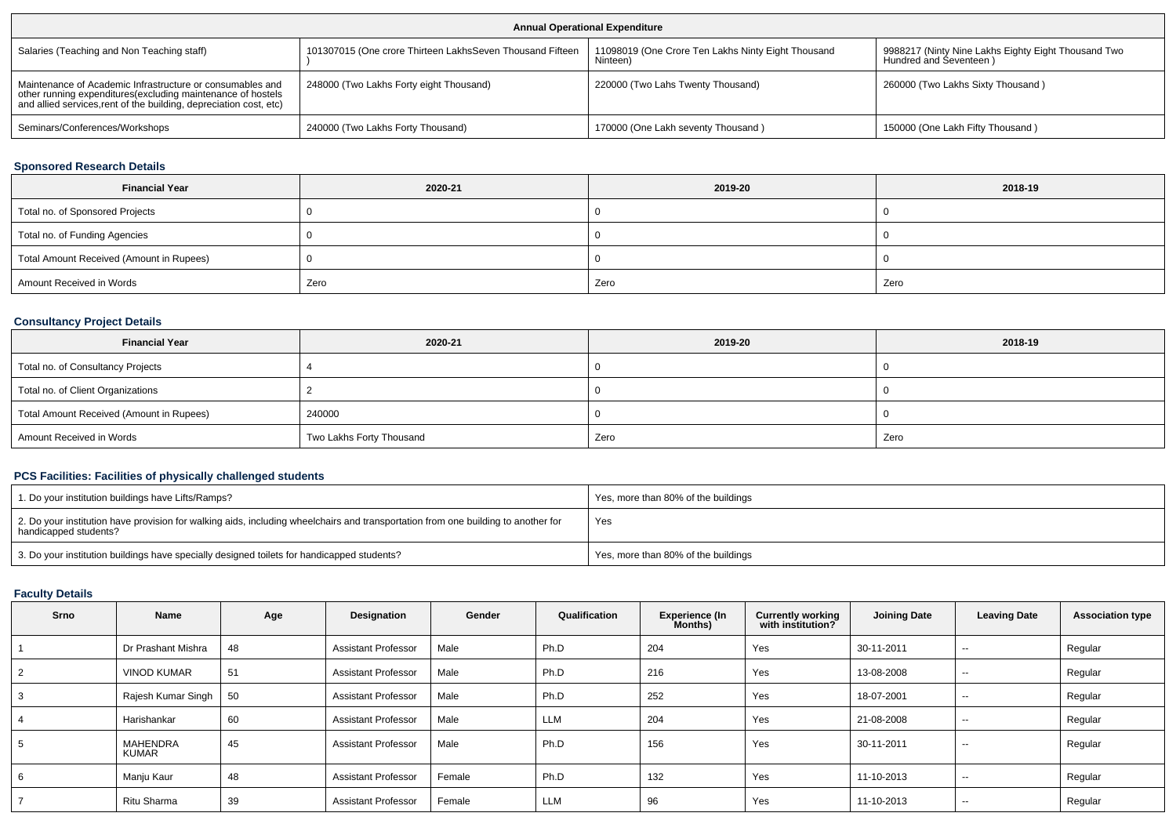| <b>Annual Operational Expenditure</b>                                                                                                                                                          |                                                           |                                                                |                                                                               |  |  |  |  |
|------------------------------------------------------------------------------------------------------------------------------------------------------------------------------------------------|-----------------------------------------------------------|----------------------------------------------------------------|-------------------------------------------------------------------------------|--|--|--|--|
| Salaries (Teaching and Non Teaching staff)                                                                                                                                                     | 101307015 (One crore Thirteen LakhsSeven Thousand Fifteen | 11098019 (One Crore Ten Lakhs Ninty Eight Thousand<br>Ninteen) | 9988217 (Ninty Nine Lakhs Eighty Eight Thousand Two<br>Hundred and Seventeen) |  |  |  |  |
| Maintenance of Academic Infrastructure or consumables and<br>other running expenditures(excluding maintenance of hostels<br>and allied services, rent of the building, depreciation cost, etc) | 248000 (Two Lakhs Forty eight Thousand)                   | 220000 (Two Lahs Twenty Thousand)                              | 260000 (Two Lakhs Sixty Thousand)                                             |  |  |  |  |
| Seminars/Conferences/Workshops                                                                                                                                                                 | 240000 (Two Lakhs Forty Thousand)                         | 170000 (One Lakh seventy Thousand)                             | 150000 (One Lakh Fifty Thousand)                                              |  |  |  |  |

### **Sponsored Research Details**

| <b>Financial Year</b>                    | 2020-21 | 2019-20 | 2018-19 |
|------------------------------------------|---------|---------|---------|
| Total no. of Sponsored Projects          |         |         |         |
| Total no. of Funding Agencies            |         |         |         |
| Total Amount Received (Amount in Rupees) |         |         |         |
| Amount Received in Words                 | Zero    | Zero    | Zero    |

## **Consultancy Project Details**

| <b>Financial Year</b>                    | 2020-21                  | 2019-20 | 2018-19 |
|------------------------------------------|--------------------------|---------|---------|
| Total no. of Consultancy Projects        |                          |         |         |
| Total no. of Client Organizations        |                          |         |         |
| Total Amount Received (Amount in Rupees) | 240000                   |         |         |
| Amount Received in Words                 | Two Lakhs Forty Thousand | Zero    | Zero    |

# **PCS Facilities: Facilities of physically challenged students**

| 1. Do your institution buildings have Lifts/Ramps?                                                                                                         | Yes, more than 80% of the buildings |
|------------------------------------------------------------------------------------------------------------------------------------------------------------|-------------------------------------|
| 2. Do your institution have provision for walking aids, including wheelchairs and transportation from one building to another for<br>handicapped students? | Yes                                 |
| 3. Do your institution buildings have specially designed toilets for handicapped students?                                                                 | Yes, more than 80% of the buildings |

# **Faculty Details**

| Srno           | Name                     | Age | Designation                | Gender | Qualification | <b>Experience (In</b><br>Months) | <b>Currently working</b><br>with institution? | <b>Joining Date</b> | <b>Leaving Date</b> | <b>Association type</b> |
|----------------|--------------------------|-----|----------------------------|--------|---------------|----------------------------------|-----------------------------------------------|---------------------|---------------------|-------------------------|
|                | Dr Prashant Mishra       | 48  | <b>Assistant Professor</b> | Male   | Ph.D          | 204                              | Yes                                           | 30-11-2011          | $\sim$              | Regular                 |
| $\overline{2}$ | <b>VINOD KUMAR</b>       | 51  | <b>Assistant Professor</b> | Male   | Ph.D          | 216                              | Yes                                           | 13-08-2008          | $\sim$              | Regular                 |
| 3              | Rajesh Kumar Singh       | 50  | <b>Assistant Professor</b> | Male   | Ph.D          | 252                              | Yes                                           | 18-07-2001          | $- -$               | Regular                 |
|                | Harishankar              | 60  | <b>Assistant Professor</b> | Male   | <b>LLM</b>    | 204                              | Yes                                           | 21-08-2008          | $\sim$              | Regular                 |
| 5              | MAHENDRA<br><b>KUMAR</b> | 45  | <b>Assistant Professor</b> | Male   | Ph.D          | 156                              | Yes                                           | 30-11-2011          | $- -$               | Regular                 |
| 6              | Manju Kaur               | 48  | <b>Assistant Professor</b> | Female | Ph.D          | 132                              | Yes                                           | 11-10-2013          | $\sim$              | Regular                 |
|                | Ritu Sharma              | 39  | <b>Assistant Professor</b> | Female | <b>LLM</b>    | 96                               | Yes                                           | 11-10-2013          | $- -$               | Regular                 |